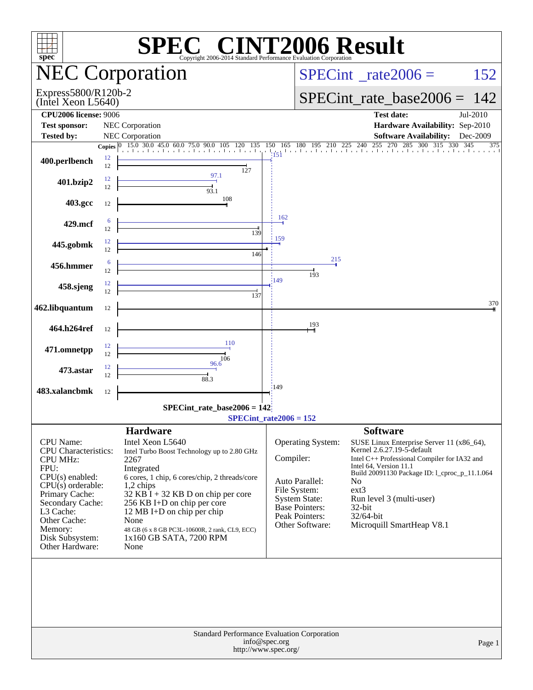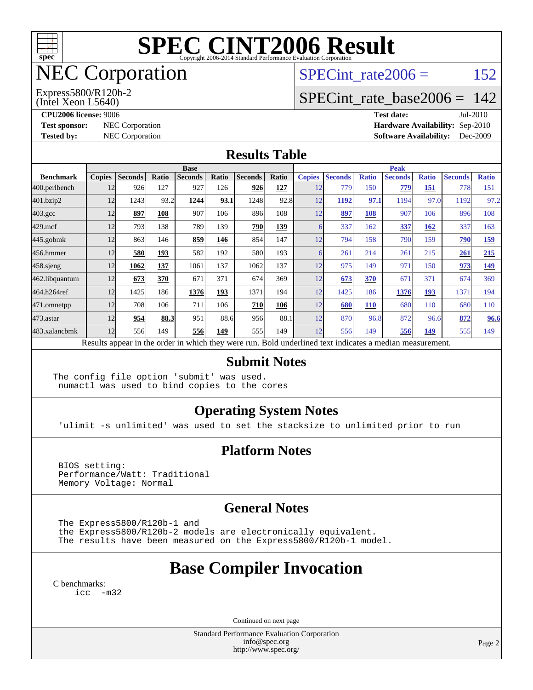

## NEC Corporation

(Intel Xeon L5640) Express5800/R120b-2 SPECint rate $2006 = 152$ 

### [SPECint\\_rate\\_base2006 =](http://www.spec.org/auto/cpu2006/Docs/result-fields.html#SPECintratebase2006) 142

**[CPU2006 license:](http://www.spec.org/auto/cpu2006/Docs/result-fields.html#CPU2006license)** 9006 **[Test date:](http://www.spec.org/auto/cpu2006/Docs/result-fields.html#Testdate)** Jul-2010

**[Test sponsor:](http://www.spec.org/auto/cpu2006/Docs/result-fields.html#Testsponsor)** NEC Corporation **NEC Corporation [Hardware Availability:](http://www.spec.org/auto/cpu2006/Docs/result-fields.html#HardwareAvailability)** Sep-2010 **[Tested by:](http://www.spec.org/auto/cpu2006/Docs/result-fields.html#Testedby)** NEC Corporation **[Software Availability:](http://www.spec.org/auto/cpu2006/Docs/result-fields.html#SoftwareAvailability)** Dec-2009

#### **[Results Table](http://www.spec.org/auto/cpu2006/Docs/result-fields.html#ResultsTable)**

|                    | <b>Base</b>   |                |       |                                                                                                          |       |                |       | <b>Peak</b>   |                |              |                |              |                |              |
|--------------------|---------------|----------------|-------|----------------------------------------------------------------------------------------------------------|-------|----------------|-------|---------------|----------------|--------------|----------------|--------------|----------------|--------------|
| <b>Benchmark</b>   | <b>Copies</b> | <b>Seconds</b> | Ratio | <b>Seconds</b>                                                                                           | Ratio | <b>Seconds</b> | Ratio | <b>Copies</b> | <b>Seconds</b> | <b>Ratio</b> | <b>Seconds</b> | <b>Ratio</b> | <b>Seconds</b> | <b>Ratio</b> |
| 400.perlbench      | 12            | 926            | 127   | 927                                                                                                      | 126   | 926            | 127   | 12            | 779            | 150          | 779            | 151          | 778            | 151          |
| 401.bzip2          | 12            | 1243           | 93.2  | 1244                                                                                                     | 93.1  | 1248           | 92.8  | 12            | 1192           | 97.1         | 1194           | 97.0         | 1192           | 97.2         |
| $403.\mathrm{gcc}$ | 12            | 897            | 108   | 907                                                                                                      | 106   | 896            | 108   | 12            | 897            | 108          | 907            | 106          | 896            | 108          |
| $429$ .mcf         | 12            | 793            | 138   | 789                                                                                                      | 139   | 790            | 139   | 6             | 337            | 162          | 337            | 162          | 337            | 163          |
| $445$ .gobm $k$    | 12            | 863            | 146   | 859                                                                                                      | 146   | 854            | 147   | 12            | 794            | 158          | 790            | 159          | 790            | <u>159</u>   |
| 456.hmmer          | 12            | 580            | 193   | 582                                                                                                      | 192   | 580            | 193   | 6             | 261            | 214          | 261            | 215          | 261            | 215          |
| $458$ .sjeng       | 12            | 1062           | 137   | 1061                                                                                                     | 137   | 1062           | 137   | 12            | 975            | 149          | 971            | 150          | 973            | 149          |
| 462.libquantum     | 12            | 673            | 370   | 671                                                                                                      | 371   | 674            | 369   | 12            | 673            | 370          | 671            | 371          | 674            | 369          |
| 464.h264ref        | 12            | 1425           | 186   | 1376                                                                                                     | 193   | 1371           | 194   | 12            | 1425           | 186          | 1376           | 193          | 1371           | 194          |
| 471.omnetpp        | 12            | 708            | 106   | 711                                                                                                      | 106   | 710            | 106   | 12            | 680            | <b>110</b>   | 680            | 110          | 680            | 110          |
| 473.astar          | 12            | 954            | 88.3  | 951                                                                                                      | 88.6  | 956            | 88.1  | 12            | 870            | 96.8         | 872            | 96.6         | 872            | 96.6         |
| 483.xalancbmk      | 12            | 556            | 149   | 556                                                                                                      | 149   | 555            | 149   | 12            | 556            | 149          | 556            | 149          | 555            | 149          |
|                    |               |                |       | Results appear in the order in which they were run. Bold underlined text indicates a median measurement. |       |                |       |               |                |              |                |              |                |              |

#### **[Submit Notes](http://www.spec.org/auto/cpu2006/Docs/result-fields.html#SubmitNotes)**

The config file option 'submit' was used. numactl was used to bind copies to the cores

#### **[Operating System Notes](http://www.spec.org/auto/cpu2006/Docs/result-fields.html#OperatingSystemNotes)**

'ulimit -s unlimited' was used to set the stacksize to unlimited prior to run

#### **[Platform Notes](http://www.spec.org/auto/cpu2006/Docs/result-fields.html#PlatformNotes)**

 BIOS setting: Performance/Watt: Traditional Memory Voltage: Normal

#### **[General Notes](http://www.spec.org/auto/cpu2006/Docs/result-fields.html#GeneralNotes)**

The Express5800/R120b-1 and

 the Express5800/R120b-2 models are electronically equivalent. The results have been measured on the Express5800/R120b-1 model.

## **[Base Compiler Invocation](http://www.spec.org/auto/cpu2006/Docs/result-fields.html#BaseCompilerInvocation)**

[C benchmarks](http://www.spec.org/auto/cpu2006/Docs/result-fields.html#Cbenchmarks): [icc -m32](http://www.spec.org/cpu2006/results/res2010q3/cpu2006-20100727-12650.flags.html#user_CCbase_intel_icc_32bit_5ff4a39e364c98233615fdd38438c6f2)

Continued on next page

Standard Performance Evaluation Corporation [info@spec.org](mailto:info@spec.org) <http://www.spec.org/>

Page 2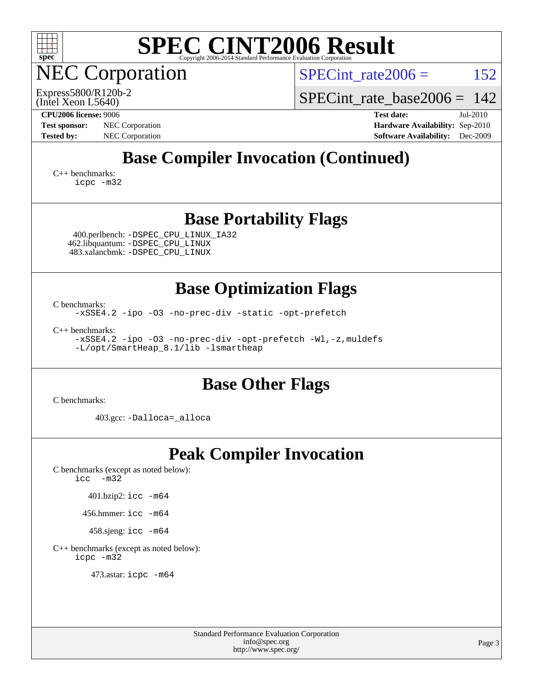

NEC Corporation

SPECint rate $2006 = 152$ 

(Intel Xeon L5640) Express5800/R120b-2 SPECint rate base  $2006 = 142$ 

**[CPU2006 license:](http://www.spec.org/auto/cpu2006/Docs/result-fields.html#CPU2006license)** 9006 **[Test date:](http://www.spec.org/auto/cpu2006/Docs/result-fields.html#Testdate)** Jul-2010 **[Test sponsor:](http://www.spec.org/auto/cpu2006/Docs/result-fields.html#Testsponsor)** NEC Corporation **NEC Corporation [Hardware Availability:](http://www.spec.org/auto/cpu2006/Docs/result-fields.html#HardwareAvailability)** Sep-2010 **[Tested by:](http://www.spec.org/auto/cpu2006/Docs/result-fields.html#Testedby)** NEC Corporation **[Software Availability:](http://www.spec.org/auto/cpu2006/Docs/result-fields.html#SoftwareAvailability)** Dec-2009

## **[Base Compiler Invocation \(Continued\)](http://www.spec.org/auto/cpu2006/Docs/result-fields.html#BaseCompilerInvocation)**

[C++ benchmarks:](http://www.spec.org/auto/cpu2006/Docs/result-fields.html#CXXbenchmarks) [icpc -m32](http://www.spec.org/cpu2006/results/res2010q3/cpu2006-20100727-12650.flags.html#user_CXXbase_intel_icpc_32bit_4e5a5ef1a53fd332b3c49e69c3330699)

### **[Base Portability Flags](http://www.spec.org/auto/cpu2006/Docs/result-fields.html#BasePortabilityFlags)**

 400.perlbench: [-DSPEC\\_CPU\\_LINUX\\_IA32](http://www.spec.org/cpu2006/results/res2010q3/cpu2006-20100727-12650.flags.html#b400.perlbench_baseCPORTABILITY_DSPEC_CPU_LINUX_IA32) 462.libquantum: [-DSPEC\\_CPU\\_LINUX](http://www.spec.org/cpu2006/results/res2010q3/cpu2006-20100727-12650.flags.html#b462.libquantum_baseCPORTABILITY_DSPEC_CPU_LINUX) 483.xalancbmk: [-DSPEC\\_CPU\\_LINUX](http://www.spec.org/cpu2006/results/res2010q3/cpu2006-20100727-12650.flags.html#b483.xalancbmk_baseCXXPORTABILITY_DSPEC_CPU_LINUX)

#### **[Base Optimization Flags](http://www.spec.org/auto/cpu2006/Docs/result-fields.html#BaseOptimizationFlags)**

[C benchmarks](http://www.spec.org/auto/cpu2006/Docs/result-fields.html#Cbenchmarks):

[-xSSE4.2](http://www.spec.org/cpu2006/results/res2010q3/cpu2006-20100727-12650.flags.html#user_CCbase_f-xSSE42_f91528193cf0b216347adb8b939d4107) [-ipo](http://www.spec.org/cpu2006/results/res2010q3/cpu2006-20100727-12650.flags.html#user_CCbase_f-ipo) [-O3](http://www.spec.org/cpu2006/results/res2010q3/cpu2006-20100727-12650.flags.html#user_CCbase_f-O3) [-no-prec-div](http://www.spec.org/cpu2006/results/res2010q3/cpu2006-20100727-12650.flags.html#user_CCbase_f-no-prec-div) [-static](http://www.spec.org/cpu2006/results/res2010q3/cpu2006-20100727-12650.flags.html#user_CCbase_f-static) [-opt-prefetch](http://www.spec.org/cpu2006/results/res2010q3/cpu2006-20100727-12650.flags.html#user_CCbase_f-opt-prefetch)

[C++ benchmarks:](http://www.spec.org/auto/cpu2006/Docs/result-fields.html#CXXbenchmarks) [-xSSE4.2](http://www.spec.org/cpu2006/results/res2010q3/cpu2006-20100727-12650.flags.html#user_CXXbase_f-xSSE42_f91528193cf0b216347adb8b939d4107) [-ipo](http://www.spec.org/cpu2006/results/res2010q3/cpu2006-20100727-12650.flags.html#user_CXXbase_f-ipo) [-O3](http://www.spec.org/cpu2006/results/res2010q3/cpu2006-20100727-12650.flags.html#user_CXXbase_f-O3) [-no-prec-div](http://www.spec.org/cpu2006/results/res2010q3/cpu2006-20100727-12650.flags.html#user_CXXbase_f-no-prec-div) [-opt-prefetch](http://www.spec.org/cpu2006/results/res2010q3/cpu2006-20100727-12650.flags.html#user_CXXbase_f-opt-prefetch) [-Wl,-z,muldefs](http://www.spec.org/cpu2006/results/res2010q3/cpu2006-20100727-12650.flags.html#user_CXXbase_link_force_multiple1_74079c344b956b9658436fd1b6dd3a8a) [-L/opt/SmartHeap\\_8.1/lib -lsmartheap](http://www.spec.org/cpu2006/results/res2010q3/cpu2006-20100727-12650.flags.html#user_CXXbase_SmartHeap_d5ba4dfc9de25d3c657c7de7476e66c5)

### **[Base Other Flags](http://www.spec.org/auto/cpu2006/Docs/result-fields.html#BaseOtherFlags)**

[C benchmarks](http://www.spec.org/auto/cpu2006/Docs/result-fields.html#Cbenchmarks):

403.gcc: [-Dalloca=\\_alloca](http://www.spec.org/cpu2006/results/res2010q3/cpu2006-20100727-12650.flags.html#b403.gcc_baseEXTRA_CFLAGS_Dalloca_be3056838c12de2578596ca5467af7f3)

## **[Peak Compiler Invocation](http://www.spec.org/auto/cpu2006/Docs/result-fields.html#PeakCompilerInvocation)**

[C benchmarks \(except as noted below\)](http://www.spec.org/auto/cpu2006/Docs/result-fields.html#Cbenchmarksexceptasnotedbelow): [icc -m32](http://www.spec.org/cpu2006/results/res2010q3/cpu2006-20100727-12650.flags.html#user_CCpeak_intel_icc_32bit_5ff4a39e364c98233615fdd38438c6f2)

401.bzip2: [icc -m64](http://www.spec.org/cpu2006/results/res2010q3/cpu2006-20100727-12650.flags.html#user_peakCCLD401_bzip2_intel_icc_64bit_bda6cc9af1fdbb0edc3795bac97ada53)

456.hmmer: [icc -m64](http://www.spec.org/cpu2006/results/res2010q3/cpu2006-20100727-12650.flags.html#user_peakCCLD456_hmmer_intel_icc_64bit_bda6cc9af1fdbb0edc3795bac97ada53)

458.sjeng: [icc -m64](http://www.spec.org/cpu2006/results/res2010q3/cpu2006-20100727-12650.flags.html#user_peakCCLD458_sjeng_intel_icc_64bit_bda6cc9af1fdbb0edc3795bac97ada53)

[C++ benchmarks \(except as noted below\):](http://www.spec.org/auto/cpu2006/Docs/result-fields.html#CXXbenchmarksexceptasnotedbelow) [icpc -m32](http://www.spec.org/cpu2006/results/res2010q3/cpu2006-20100727-12650.flags.html#user_CXXpeak_intel_icpc_32bit_4e5a5ef1a53fd332b3c49e69c3330699)

473.astar: [icpc -m64](http://www.spec.org/cpu2006/results/res2010q3/cpu2006-20100727-12650.flags.html#user_peakCXXLD473_astar_intel_icpc_64bit_fc66a5337ce925472a5c54ad6a0de310)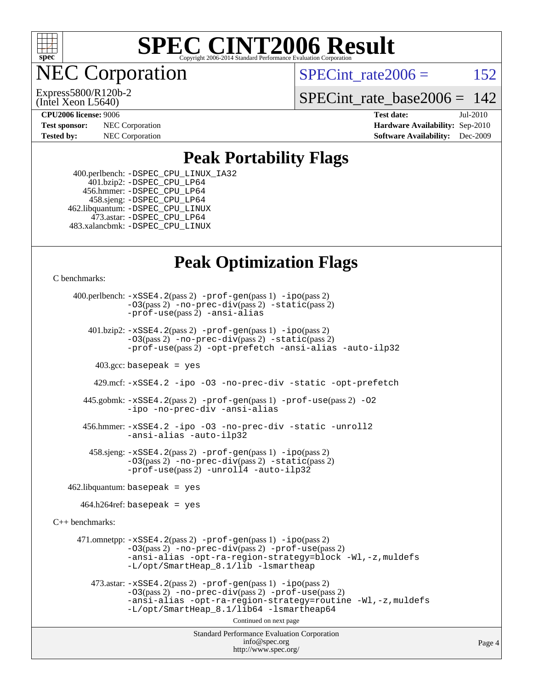

**EC Corporation** 

Express5800/R120b-2

SPECint rate $2006 = 152$ 

[SPECint\\_rate\\_base2006 =](http://www.spec.org/auto/cpu2006/Docs/result-fields.html#SPECintratebase2006)  $142$ 

(Intel Xeon L5640) **[CPU2006 license:](http://www.spec.org/auto/cpu2006/Docs/result-fields.html#CPU2006license)** 9006 **[Test date:](http://www.spec.org/auto/cpu2006/Docs/result-fields.html#Testdate)** Jul-2010

**[Test sponsor:](http://www.spec.org/auto/cpu2006/Docs/result-fields.html#Testsponsor)** NEC Corporation **NEC Corporation [Hardware Availability:](http://www.spec.org/auto/cpu2006/Docs/result-fields.html#HardwareAvailability)** Sep-2010 **[Tested by:](http://www.spec.org/auto/cpu2006/Docs/result-fields.html#Testedby)** NEC Corporation **[Software Availability:](http://www.spec.org/auto/cpu2006/Docs/result-fields.html#SoftwareAvailability)** Dec-2009

**[Peak Portability Flags](http://www.spec.org/auto/cpu2006/Docs/result-fields.html#PeakPortabilityFlags)**

 400.perlbench: [-DSPEC\\_CPU\\_LINUX\\_IA32](http://www.spec.org/cpu2006/results/res2010q3/cpu2006-20100727-12650.flags.html#b400.perlbench_peakCPORTABILITY_DSPEC_CPU_LINUX_IA32) 401.bzip2: [-DSPEC\\_CPU\\_LP64](http://www.spec.org/cpu2006/results/res2010q3/cpu2006-20100727-12650.flags.html#suite_peakCPORTABILITY401_bzip2_DSPEC_CPU_LP64) 456.hmmer: [-DSPEC\\_CPU\\_LP64](http://www.spec.org/cpu2006/results/res2010q3/cpu2006-20100727-12650.flags.html#suite_peakCPORTABILITY456_hmmer_DSPEC_CPU_LP64) 458.sjeng: [-DSPEC\\_CPU\\_LP64](http://www.spec.org/cpu2006/results/res2010q3/cpu2006-20100727-12650.flags.html#suite_peakCPORTABILITY458_sjeng_DSPEC_CPU_LP64) 462.libquantum: [-DSPEC\\_CPU\\_LINUX](http://www.spec.org/cpu2006/results/res2010q3/cpu2006-20100727-12650.flags.html#b462.libquantum_peakCPORTABILITY_DSPEC_CPU_LINUX) 473.astar: [-DSPEC\\_CPU\\_LP64](http://www.spec.org/cpu2006/results/res2010q3/cpu2006-20100727-12650.flags.html#suite_peakCXXPORTABILITY473_astar_DSPEC_CPU_LP64) 483.xalancbmk: [-DSPEC\\_CPU\\_LINUX](http://www.spec.org/cpu2006/results/res2010q3/cpu2006-20100727-12650.flags.html#b483.xalancbmk_peakCXXPORTABILITY_DSPEC_CPU_LINUX)

### **[Peak Optimization Flags](http://www.spec.org/auto/cpu2006/Docs/result-fields.html#PeakOptimizationFlags)**

[C benchmarks](http://www.spec.org/auto/cpu2006/Docs/result-fields.html#Cbenchmarks):

Standard Performance Evaluation Corporation [info@spec.org](mailto:info@spec.org) <http://www.spec.org/> 400.perlbench: [-xSSE4.2](http://www.spec.org/cpu2006/results/res2010q3/cpu2006-20100727-12650.flags.html#user_peakPASS2_CFLAGSPASS2_LDCFLAGS400_perlbench_f-xSSE42_f91528193cf0b216347adb8b939d4107)(pass 2) [-prof-gen](http://www.spec.org/cpu2006/results/res2010q3/cpu2006-20100727-12650.flags.html#user_peakPASS1_CFLAGSPASS1_LDCFLAGS400_perlbench_prof_gen_e43856698f6ca7b7e442dfd80e94a8fc)(pass 1) [-ipo](http://www.spec.org/cpu2006/results/res2010q3/cpu2006-20100727-12650.flags.html#user_peakPASS2_CFLAGSPASS2_LDCFLAGS400_perlbench_f-ipo)(pass 2) [-O3](http://www.spec.org/cpu2006/results/res2010q3/cpu2006-20100727-12650.flags.html#user_peakPASS2_CFLAGSPASS2_LDCFLAGS400_perlbench_f-O3)(pass 2) [-no-prec-div](http://www.spec.org/cpu2006/results/res2010q3/cpu2006-20100727-12650.flags.html#user_peakPASS2_CFLAGSPASS2_LDCFLAGS400_perlbench_f-no-prec-div)(pass 2) [-static](http://www.spec.org/cpu2006/results/res2010q3/cpu2006-20100727-12650.flags.html#user_peakPASS2_CFLAGSPASS2_LDCFLAGS400_perlbench_f-static)(pass 2) [-prof-use](http://www.spec.org/cpu2006/results/res2010q3/cpu2006-20100727-12650.flags.html#user_peakPASS2_CFLAGSPASS2_LDCFLAGS400_perlbench_prof_use_bccf7792157ff70d64e32fe3e1250b55)(pass 2) [-ansi-alias](http://www.spec.org/cpu2006/results/res2010q3/cpu2006-20100727-12650.flags.html#user_peakCOPTIMIZE400_perlbench_f-ansi-alias) 401.bzip2: [-xSSE4.2](http://www.spec.org/cpu2006/results/res2010q3/cpu2006-20100727-12650.flags.html#user_peakPASS2_CFLAGSPASS2_LDCFLAGS401_bzip2_f-xSSE42_f91528193cf0b216347adb8b939d4107)(pass 2) [-prof-gen](http://www.spec.org/cpu2006/results/res2010q3/cpu2006-20100727-12650.flags.html#user_peakPASS1_CFLAGSPASS1_LDCFLAGS401_bzip2_prof_gen_e43856698f6ca7b7e442dfd80e94a8fc)(pass 1) [-ipo](http://www.spec.org/cpu2006/results/res2010q3/cpu2006-20100727-12650.flags.html#user_peakPASS2_CFLAGSPASS2_LDCFLAGS401_bzip2_f-ipo)(pass 2) [-O3](http://www.spec.org/cpu2006/results/res2010q3/cpu2006-20100727-12650.flags.html#user_peakPASS2_CFLAGSPASS2_LDCFLAGS401_bzip2_f-O3)(pass 2) [-no-prec-div](http://www.spec.org/cpu2006/results/res2010q3/cpu2006-20100727-12650.flags.html#user_peakPASS2_CFLAGSPASS2_LDCFLAGS401_bzip2_f-no-prec-div)(pass 2) [-static](http://www.spec.org/cpu2006/results/res2010q3/cpu2006-20100727-12650.flags.html#user_peakPASS2_CFLAGSPASS2_LDCFLAGS401_bzip2_f-static)(pass 2) [-prof-use](http://www.spec.org/cpu2006/results/res2010q3/cpu2006-20100727-12650.flags.html#user_peakPASS2_CFLAGSPASS2_LDCFLAGS401_bzip2_prof_use_bccf7792157ff70d64e32fe3e1250b55)(pass 2) [-opt-prefetch](http://www.spec.org/cpu2006/results/res2010q3/cpu2006-20100727-12650.flags.html#user_peakCOPTIMIZE401_bzip2_f-opt-prefetch) [-ansi-alias](http://www.spec.org/cpu2006/results/res2010q3/cpu2006-20100727-12650.flags.html#user_peakCOPTIMIZE401_bzip2_f-ansi-alias) [-auto-ilp32](http://www.spec.org/cpu2006/results/res2010q3/cpu2006-20100727-12650.flags.html#user_peakCOPTIMIZE401_bzip2_f-auto-ilp32)  $403.\text{gcc: basepeak}$  = yes 429.mcf: [-xSSE4.2](http://www.spec.org/cpu2006/results/res2010q3/cpu2006-20100727-12650.flags.html#user_peakCOPTIMIZE429_mcf_f-xSSE42_f91528193cf0b216347adb8b939d4107) [-ipo](http://www.spec.org/cpu2006/results/res2010q3/cpu2006-20100727-12650.flags.html#user_peakCOPTIMIZE429_mcf_f-ipo) [-O3](http://www.spec.org/cpu2006/results/res2010q3/cpu2006-20100727-12650.flags.html#user_peakCOPTIMIZE429_mcf_f-O3) [-no-prec-div](http://www.spec.org/cpu2006/results/res2010q3/cpu2006-20100727-12650.flags.html#user_peakCOPTIMIZE429_mcf_f-no-prec-div) [-static](http://www.spec.org/cpu2006/results/res2010q3/cpu2006-20100727-12650.flags.html#user_peakCOPTIMIZE429_mcf_f-static) [-opt-prefetch](http://www.spec.org/cpu2006/results/res2010q3/cpu2006-20100727-12650.flags.html#user_peakCOPTIMIZE429_mcf_f-opt-prefetch) 445.gobmk: [-xSSE4.2](http://www.spec.org/cpu2006/results/res2010q3/cpu2006-20100727-12650.flags.html#user_peakPASS2_CFLAGSPASS2_LDCFLAGS445_gobmk_f-xSSE42_f91528193cf0b216347adb8b939d4107)(pass 2) [-prof-gen](http://www.spec.org/cpu2006/results/res2010q3/cpu2006-20100727-12650.flags.html#user_peakPASS1_CFLAGSPASS1_LDCFLAGS445_gobmk_prof_gen_e43856698f6ca7b7e442dfd80e94a8fc)(pass 1) [-prof-use](http://www.spec.org/cpu2006/results/res2010q3/cpu2006-20100727-12650.flags.html#user_peakPASS2_CFLAGSPASS2_LDCFLAGS445_gobmk_prof_use_bccf7792157ff70d64e32fe3e1250b55)(pass 2) [-O2](http://www.spec.org/cpu2006/results/res2010q3/cpu2006-20100727-12650.flags.html#user_peakCOPTIMIZE445_gobmk_f-O2) [-ipo](http://www.spec.org/cpu2006/results/res2010q3/cpu2006-20100727-12650.flags.html#user_peakCOPTIMIZE445_gobmk_f-ipo) [-no-prec-div](http://www.spec.org/cpu2006/results/res2010q3/cpu2006-20100727-12650.flags.html#user_peakCOPTIMIZE445_gobmk_f-no-prec-div) [-ansi-alias](http://www.spec.org/cpu2006/results/res2010q3/cpu2006-20100727-12650.flags.html#user_peakCOPTIMIZE445_gobmk_f-ansi-alias) 456.hmmer: [-xSSE4.2](http://www.spec.org/cpu2006/results/res2010q3/cpu2006-20100727-12650.flags.html#user_peakCOPTIMIZE456_hmmer_f-xSSE42_f91528193cf0b216347adb8b939d4107) [-ipo](http://www.spec.org/cpu2006/results/res2010q3/cpu2006-20100727-12650.flags.html#user_peakCOPTIMIZE456_hmmer_f-ipo) [-O3](http://www.spec.org/cpu2006/results/res2010q3/cpu2006-20100727-12650.flags.html#user_peakCOPTIMIZE456_hmmer_f-O3) [-no-prec-div](http://www.spec.org/cpu2006/results/res2010q3/cpu2006-20100727-12650.flags.html#user_peakCOPTIMIZE456_hmmer_f-no-prec-div) [-static](http://www.spec.org/cpu2006/results/res2010q3/cpu2006-20100727-12650.flags.html#user_peakCOPTIMIZE456_hmmer_f-static) [-unroll2](http://www.spec.org/cpu2006/results/res2010q3/cpu2006-20100727-12650.flags.html#user_peakCOPTIMIZE456_hmmer_f-unroll_784dae83bebfb236979b41d2422d7ec2) [-ansi-alias](http://www.spec.org/cpu2006/results/res2010q3/cpu2006-20100727-12650.flags.html#user_peakCOPTIMIZE456_hmmer_f-ansi-alias) [-auto-ilp32](http://www.spec.org/cpu2006/results/res2010q3/cpu2006-20100727-12650.flags.html#user_peakCOPTIMIZE456_hmmer_f-auto-ilp32) 458.sjeng: [-xSSE4.2](http://www.spec.org/cpu2006/results/res2010q3/cpu2006-20100727-12650.flags.html#user_peakPASS2_CFLAGSPASS2_LDCFLAGS458_sjeng_f-xSSE42_f91528193cf0b216347adb8b939d4107)(pass 2) [-prof-gen](http://www.spec.org/cpu2006/results/res2010q3/cpu2006-20100727-12650.flags.html#user_peakPASS1_CFLAGSPASS1_LDCFLAGS458_sjeng_prof_gen_e43856698f6ca7b7e442dfd80e94a8fc)(pass 1) [-ipo](http://www.spec.org/cpu2006/results/res2010q3/cpu2006-20100727-12650.flags.html#user_peakPASS2_CFLAGSPASS2_LDCFLAGS458_sjeng_f-ipo)(pass 2) [-O3](http://www.spec.org/cpu2006/results/res2010q3/cpu2006-20100727-12650.flags.html#user_peakPASS2_CFLAGSPASS2_LDCFLAGS458_sjeng_f-O3)(pass 2) [-no-prec-div](http://www.spec.org/cpu2006/results/res2010q3/cpu2006-20100727-12650.flags.html#user_peakPASS2_CFLAGSPASS2_LDCFLAGS458_sjeng_f-no-prec-div)(pass 2) [-static](http://www.spec.org/cpu2006/results/res2010q3/cpu2006-20100727-12650.flags.html#user_peakPASS2_CFLAGSPASS2_LDCFLAGS458_sjeng_f-static)(pass 2) [-prof-use](http://www.spec.org/cpu2006/results/res2010q3/cpu2006-20100727-12650.flags.html#user_peakPASS2_CFLAGSPASS2_LDCFLAGS458_sjeng_prof_use_bccf7792157ff70d64e32fe3e1250b55)(pass 2) [-unroll4](http://www.spec.org/cpu2006/results/res2010q3/cpu2006-20100727-12650.flags.html#user_peakCOPTIMIZE458_sjeng_f-unroll_4e5e4ed65b7fd20bdcd365bec371b81f) [-auto-ilp32](http://www.spec.org/cpu2006/results/res2010q3/cpu2006-20100727-12650.flags.html#user_peakCOPTIMIZE458_sjeng_f-auto-ilp32)  $462$ .libquantum: basepeak = yes  $464.h264$ ref: basepeak = yes [C++ benchmarks:](http://www.spec.org/auto/cpu2006/Docs/result-fields.html#CXXbenchmarks) 471.omnetpp: [-xSSE4.2](http://www.spec.org/cpu2006/results/res2010q3/cpu2006-20100727-12650.flags.html#user_peakPASS2_CXXFLAGSPASS2_LDCXXFLAGS471_omnetpp_f-xSSE42_f91528193cf0b216347adb8b939d4107)(pass 2) [-prof-gen](http://www.spec.org/cpu2006/results/res2010q3/cpu2006-20100727-12650.flags.html#user_peakPASS1_CXXFLAGSPASS1_LDCXXFLAGS471_omnetpp_prof_gen_e43856698f6ca7b7e442dfd80e94a8fc)(pass 1) [-ipo](http://www.spec.org/cpu2006/results/res2010q3/cpu2006-20100727-12650.flags.html#user_peakPASS2_CXXFLAGSPASS2_LDCXXFLAGS471_omnetpp_f-ipo)(pass 2) [-O3](http://www.spec.org/cpu2006/results/res2010q3/cpu2006-20100727-12650.flags.html#user_peakPASS2_CXXFLAGSPASS2_LDCXXFLAGS471_omnetpp_f-O3)(pass 2) [-no-prec-div](http://www.spec.org/cpu2006/results/res2010q3/cpu2006-20100727-12650.flags.html#user_peakPASS2_CXXFLAGSPASS2_LDCXXFLAGS471_omnetpp_f-no-prec-div)(pass 2) [-prof-use](http://www.spec.org/cpu2006/results/res2010q3/cpu2006-20100727-12650.flags.html#user_peakPASS2_CXXFLAGSPASS2_LDCXXFLAGS471_omnetpp_prof_use_bccf7792157ff70d64e32fe3e1250b55)(pass 2) [-ansi-alias](http://www.spec.org/cpu2006/results/res2010q3/cpu2006-20100727-12650.flags.html#user_peakCXXOPTIMIZE471_omnetpp_f-ansi-alias) [-opt-ra-region-strategy=block](http://www.spec.org/cpu2006/results/res2010q3/cpu2006-20100727-12650.flags.html#user_peakCXXOPTIMIZE471_omnetpp_f-opt-ra-region-strategy-block_a0a37c372d03933b2a18d4af463c1f69) [-Wl,-z,muldefs](http://www.spec.org/cpu2006/results/res2010q3/cpu2006-20100727-12650.flags.html#user_peakEXTRA_LDFLAGS471_omnetpp_link_force_multiple1_74079c344b956b9658436fd1b6dd3a8a) [-L/opt/SmartHeap\\_8.1/lib -lsmartheap](http://www.spec.org/cpu2006/results/res2010q3/cpu2006-20100727-12650.flags.html#user_peakEXTRA_LIBS471_omnetpp_SmartHeap_d5ba4dfc9de25d3c657c7de7476e66c5) 473.astar: [-xSSE4.2](http://www.spec.org/cpu2006/results/res2010q3/cpu2006-20100727-12650.flags.html#user_peakPASS2_CXXFLAGSPASS2_LDCXXFLAGS473_astar_f-xSSE42_f91528193cf0b216347adb8b939d4107)(pass 2) [-prof-gen](http://www.spec.org/cpu2006/results/res2010q3/cpu2006-20100727-12650.flags.html#user_peakPASS1_CXXFLAGSPASS1_LDCXXFLAGS473_astar_prof_gen_e43856698f6ca7b7e442dfd80e94a8fc)(pass 1) [-ipo](http://www.spec.org/cpu2006/results/res2010q3/cpu2006-20100727-12650.flags.html#user_peakPASS2_CXXFLAGSPASS2_LDCXXFLAGS473_astar_f-ipo)(pass 2) [-O3](http://www.spec.org/cpu2006/results/res2010q3/cpu2006-20100727-12650.flags.html#user_peakPASS2_CXXFLAGSPASS2_LDCXXFLAGS473_astar_f-O3)(pass 2) [-no-prec-div](http://www.spec.org/cpu2006/results/res2010q3/cpu2006-20100727-12650.flags.html#user_peakPASS2_CXXFLAGSPASS2_LDCXXFLAGS473_astar_f-no-prec-div)(pass 2) [-prof-use](http://www.spec.org/cpu2006/results/res2010q3/cpu2006-20100727-12650.flags.html#user_peakPASS2_CXXFLAGSPASS2_LDCXXFLAGS473_astar_prof_use_bccf7792157ff70d64e32fe3e1250b55)(pass 2) [-ansi-alias](http://www.spec.org/cpu2006/results/res2010q3/cpu2006-20100727-12650.flags.html#user_peakCXXOPTIMIZE473_astar_f-ansi-alias) [-opt-ra-region-strategy=routine](http://www.spec.org/cpu2006/results/res2010q3/cpu2006-20100727-12650.flags.html#user_peakCXXOPTIMIZE473_astar_f-opt-ra-region-strategy-routine_ba086ea3b1d46a52e1238e2ca173ed44) [-Wl,-z,muldefs](http://www.spec.org/cpu2006/results/res2010q3/cpu2006-20100727-12650.flags.html#user_peakEXTRA_LDFLAGS473_astar_link_force_multiple1_74079c344b956b9658436fd1b6dd3a8a) [-L/opt/SmartHeap\\_8.1/lib64 -lsmartheap64](http://www.spec.org/cpu2006/results/res2010q3/cpu2006-20100727-12650.flags.html#user_peakEXTRA_LIBS473_astar_SmartHeap64_7ff9c3d8ca51c2767359d6aa2f519d77) Continued on next page

Page 4